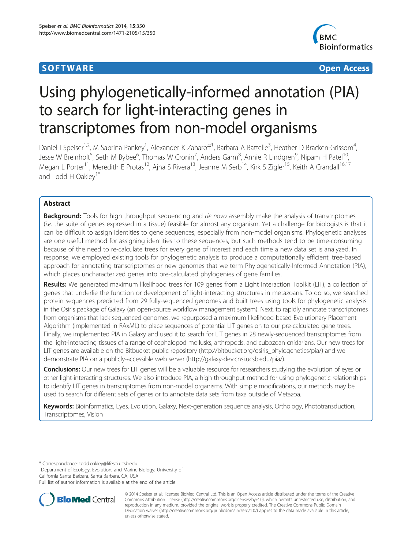# **SOFTWARE SOFTWARE** *CONSERVERSE EXECUTIVE EXECUTIVE EXECUTIVE EXECUTIVE EXECUTIVE EXECUTIVE EXECUTIVE EXECUTIVE EXECUTIVE EXECUTIVE EXECUTIVE EXECUTIVE EXECUTIVE EXECUTIVE EXECUTIVE EXECUTIVE EXECUTIVE EXECUTIVE EXECUT*



# Using phylogenetically-informed annotation (PIA) to search for light-interacting genes in transcriptomes from non-model organisms

Daniel I Speiser<sup>1,2</sup>, M Sabrina Pankey<sup>1</sup>, Alexander K Zaharoff<sup>1</sup>, Barbara A Battelle<sup>3</sup>, Heather D Bracken-Grissom<sup>4</sup> , Jesse W Breinholt<sup>5</sup>, Seth M Bybee<sup>6</sup>, Thomas W Cronin<sup>7</sup>, Anders Garm<sup>8</sup>, Annie R Lindgren<sup>9</sup>, Nipam H Patel<sup>10</sup>, Megan L Porter<sup>11</sup>, Meredith E Protas<sup>12</sup>, Ajna S Rivera<sup>13</sup>, Jeanne M Serb<sup>14</sup>, Kirk S Zigler<sup>15</sup>, Keith A Crandall<sup>16,17</sup> and Todd H Oakley<sup>1\*</sup>

# Abstract

**Background:** Tools for high throughput sequencing and *de novo* assembly make the analysis of transcriptomes (i.e. the suite of genes expressed in a tissue) feasible for almost any organism. Yet a challenge for biologists is that it can be difficult to assign identities to gene sequences, especially from non-model organisms. Phylogenetic analyses are one useful method for assigning identities to these sequences, but such methods tend to be time-consuming because of the need to re-calculate trees for every gene of interest and each time a new data set is analyzed. In response, we employed existing tools for phylogenetic analysis to produce a computationally efficient, tree-based approach for annotating transcriptomes or new genomes that we term Phylogenetically-Informed Annotation (PIA), which places uncharacterized genes into pre-calculated phylogenies of gene families.

Results: We generated maximum likelihood trees for 109 genes from a Light Interaction Toolkit (LIT), a collection of genes that underlie the function or development of light-interacting structures in metazoans. To do so, we searched protein sequences predicted from 29 fully-sequenced genomes and built trees using tools for phylogenetic analysis in the Osiris package of Galaxy (an open-source workflow management system). Next, to rapidly annotate transcriptomes from organisms that lack sequenced genomes, we repurposed a maximum likelihood-based Evolutionary Placement Algorithm (implemented in RAxML) to place sequences of potential LIT genes on to our pre-calculated gene trees. Finally, we implemented PIA in Galaxy and used it to search for LIT genes in 28 newly-sequenced transcriptomes from the light-interacting tissues of a range of cephalopod mollusks, arthropods, and cubozoan cnidarians. Our new trees for LIT genes are available on the Bitbucket public repository [\(http://bitbucket.org/osiris\\_phylogenetics/pia/\)](http://bitbucket.org/osiris_phylogenetics/pia/) and we demonstrate PIA on a publicly-accessible web server [\(http://galaxy-dev.cnsi.ucsb.edu/pia/](http://galaxy-dev.cnsi.ucsb.edu/pia/)).

Conclusions: Our new trees for LIT genes will be a valuable resource for researchers studying the evolution of eyes or other light-interacting structures. We also introduce PIA, a high throughput method for using phylogenetic relationships to identify LIT genes in transcriptomes from non-model organisms. With simple modifications, our methods may be used to search for different sets of genes or to annotate data sets from taxa outside of Metazoa.

Keywords: Bioinformatics, Eyes, Evolution, Galaxy, Next-generation sequence analysis, Orthology, Phototransduction, Transcriptomes, Vision

\* Correspondence: [todd.oakley@lifesci.ucsb.edu](mailto:todd.oakley@lifesci.ucsb.edu) <sup>1</sup>

<sup>1</sup>Department of Ecology, Evolution, and Marine Biology, University of California Santa Barbara, Santa Barbara, CA, USA

Full list of author information is available at the end of the article



© 2014 Speiser et al.; licensee BioMed Central Ltd. This is an Open Access article distributed under the terms of the Creative Commons Attribution License [\(http://creativecommons.org/licenses/by/4.0\)](http://creativecommons.org/licenses/by/4.0), which permits unrestricted use, distribution, and reproduction in any medium, provided the original work is properly credited. The Creative Commons Public Domain Dedication waiver [\(http://creativecommons.org/publicdomain/zero/1.0/](http://creativecommons.org/publicdomain/zero/1.0/)) applies to the data made available in this article, unless otherwise stated.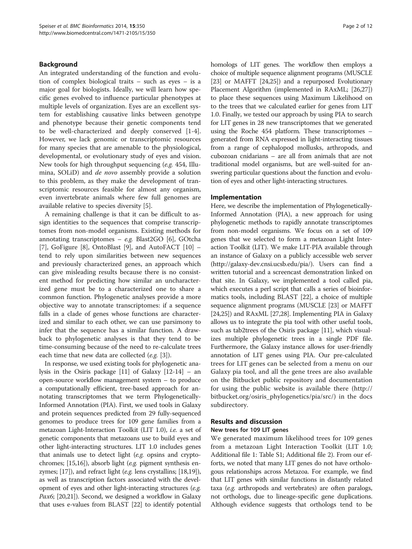# Background

An integrated understanding of the function and evolution of complex biological traits – such as eyes – is a major goal for biologists. Ideally, we will learn how specific genes evolved to influence particular phenotypes at multiple levels of organization. Eyes are an excellent system for establishing causative links between genotype and phenotype because their genetic components tend to be well-characterized and deeply conserved [[1-4](#page-9-0)]. However, we lack genomic or transcriptomic resources for many species that are amenable to the physiological, developmental, or evolutionary study of eyes and vision. New tools for high throughput sequencing (e.g. 454, Illumina, SOLiD) and de novo assembly provide a solution to this problem, as they make the development of transcriptomic resources feasible for almost any organism, even invertebrate animals where few full genomes are available relative to species diversity [\[5](#page-9-0)].

A remaining challenge is that it can be difficult to assign identities to the sequences that comprise transcriptomes from non-model organisms. Existing methods for annotating transcriptomes –  $e.g.$  Blast2GO [[6\]](#page-9-0), GOtcha [[7\]](#page-9-0), GoFigure [\[8](#page-9-0)], OntoBlast [[9\]](#page-9-0), and AutoFACT  $[10]$  $[10]$  – tend to rely upon similarities between new sequences and previously characterized genes, an approach which can give misleading results because there is no consistent method for predicting how similar an uncharacterized gene must be to a characterized one to share a common function. Phylogenetic analyses provide a more objective way to annotate transcriptomes: if a sequence falls in a clade of genes whose functions are characterized and similar to each other, we can use parsimony to infer that the sequence has a similar function. A drawback to phylogenetic analyses is that they tend to be time-consuming because of the need to re-calculate trees each time that new data are collected (e.g. [[3\]](#page-9-0)).

In response, we used existing tools for phylogenetic analysis in the Osiris package [\[11\]](#page-9-0) of Galaxy [\[12-14\]](#page-9-0) – an open-source workflow management system – to produce a computationally efficient, tree-based approach for annotating transcriptomes that we term Phylogenetically-Informed Annotation (PIA). First, we used tools in Galaxy and protein sequences predicted from 29 fully-sequenced genomes to produce trees for 109 gene families from a metazoan Light-Interaction Toolkit (LIT 1.0), i.e. a set of genetic components that metazoans use to build eyes and other light-interacting structures. LIT 1.0 includes genes that animals use to detect light (e.g. opsins and cryptochromes; [\[15,16\]](#page-9-0)), absorb light (e.g. pigment synthesis enzymes; [\[17\]](#page-9-0)), and refract light (e.g. lens crystallins; [\[18,19](#page-9-0)]), as well as transcription factors associated with the development of eyes and other light-interacting structures (e.g. *Pax*6; [\[20,21](#page-9-0)]). Second, we designed a workflow in Galaxy that uses e-values from BLAST [\[22\]](#page-9-0) to identify potential homologs of LIT genes. The workflow then employs a choice of multiple sequence alignment programs (MUSCLE [[23](#page-9-0)] or MAFFT [\[24,25\]](#page-9-0)) and a repurposed Evolutionary Placement Algorithm (implemented in RAxML; [\[26,27](#page-9-0)]) to place these sequences using Maximum Likelihood on to the trees that we calculated earlier for genes from LIT 1.0. Finally, we tested our approach by using PIA to search for LIT genes in 28 new transcriptomes that we generated using the Roche 454 platform. These transcriptomes – generated from RNA expressed in light-interacting tissues from a range of cephalopod mollusks, arthropods, and cubozoan cnidarians – are all from animals that are not traditional model organisms, but are well-suited for answering particular questions about the function and evolution of eyes and other light-interacting structures.

## Implementation

Here, we describe the implementation of Phylogenetically-Informed Annotation (PIA), a new approach for using phylogenetic methods to rapidly annotate transcriptomes from non-model organisms. We focus on a set of 109 genes that we selected to form a metazoan Light Interaction Toolkit (LIT). We make LIT-PIA available through an instance of Galaxy on a publicly accessible web server (<http://galaxy-dev.cnsi.ucsb.edu/pia/>). Users can find a written tutorial and a screencast demonstration linked on that site. In Galaxy, we implemented a tool called pia, which executes a perl script that calls a series of bioinformatics tools, including BLAST [[22](#page-9-0)], a choice of multiple sequence alignment programs (MUSCLE [[23](#page-9-0)] or MAFFT [[24,25](#page-9-0)]) and RAxML [[27](#page-9-0)[,28](#page-10-0)]. Implementing PIA in Galaxy allows us to integrate the pia tool with other useful tools, such as tab2trees of the Osiris package [[11](#page-9-0)], which visualizes multiple phylogenetic trees in a single PDF file. Furthermore, the Galaxy instance allows for user-friendly annotation of LIT genes using PIA. Our pre-calculated trees for LIT genes can be selected from a menu on our Galaxy pia tool, and all the gene trees are also available on the Bitbucket public repository and documentation for using the public website is available there ([http://](http://bitbucket.org/osiris_phylogenetics/pia/src/) [bitbucket.org/osiris\\_phylogenetics/pia/src/\)](http://bitbucket.org/osiris_phylogenetics/pia/src/) in the docs subdirectory.

# Results and discussion

## New trees for 109 LIT genes

We generated maximum likelihood trees for 109 genes from a metazoan Light Interaction Toolkit (LIT 1.0; Additional file [1:](#page-8-0) Table S1; Additional file [2\)](#page-8-0). From our efforts, we noted that many LIT genes do not have orthologous relationships across Metazoa. For example, we find that LIT genes with similar functions in distantly related taxa (e.g. arthropods and vertebrates) are often paralogs, not orthologs, due to lineage-specific gene duplications. Although evidence suggests that orthologs tend to be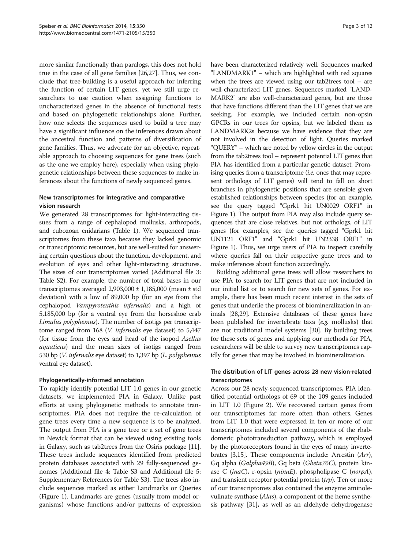more similar functionally than paralogs, this does not hold true in the case of all gene families [\[26,27](#page-9-0)]. Thus, we conclude that tree-building is a useful approach for inferring the function of certain LIT genes, yet we still urge researchers to use caution when assigning functions to uncharacterized genes in the absence of functional tests and based on phylogenetic relationships alone. Further, how one selects the sequences used to build a tree may have a significant influence on the inferences drawn about the ancestral function and patterns of diversification of gene families. Thus, we advocate for an objective, repeatable approach to choosing sequences for gene trees (such as the one we employ here), especially when using phylogenetic relationships between these sequences to make inferences about the functions of newly sequenced genes.

# New transcriptomes for integrative and comparative vision research

We generated 28 transcriptomes for light-interacting tissues from a range of cephalopod mollusks, arthropods, and cubozoan cnidarians (Table [1](#page-3-0)). We sequenced transcriptomes from these taxa because they lacked genomic or transcriptomic resources, but are well-suited for answering certain questions about the function, development, and evolution of eyes and other light-interacting structures. The sizes of our transcriptomes varied (Additional file [3](#page-8-0): Table S2). For example, the number of total bases in our transcriptomes averaged  $2,903,000 \pm 1,185,000$  (mean  $\pm$  std deviation) with a low of 89,000 bp (for an eye from the cephalopod Vampyroteuthis infernalis) and a high of 5,185,000 bp (for a ventral eye from the horseshoe crab Limulus polyphemus). The number of isotigs per transcriptome ranged from 168 (V. infernalis eye dataset) to 5,447 (for tissue from the eyes and head of the isopod Asellus aquaticus) and the mean sizes of isotigs ranged from 530 bp (V. infernalis eye dataset) to 1,397 bp (L. polyphemus ventral eye dataset).

# Phylogenetically-informed annotation

To rapidly identify potential LIT 1.0 genes in our genetic datasets, we implemented PIA in Galaxy. Unlike past efforts at using phylogenetic methods to annotate transcriptomes, PIA does not require the re-calculation of gene trees every time a new sequence is to be analyzed. The output from PIA is a gene tree or a set of gene trees in Newick format that can be viewed using existing tools in Galaxy, such as tab2trees from the Osiris package [[11](#page-9-0)]. These trees include sequences identified from predicted protein databases associated with 29 fully-sequenced genomes (Additional file [4](#page-9-0): Table S3 and Additional file [5](#page-9-0): Supplementary References for Table S3). The trees also include sequences marked as either Landmarks or Queries (Figure [1](#page-4-0)). Landmarks are genes (usually from model organisms) whose functions and/or patterns of expression

have been characterized relatively well. Sequences marked "LANDMARK1" – which are highlighted with red squares when the trees are viewed using our tab2trees tool – are well-characterized LIT genes. Sequences marked "LAND-MARK2" are also well-characterized genes, but are those that have functions different than the LIT genes that we are seeking. For example, we included certain non-opsin GPCRs in our trees for opsins, but we labeled them as LANDMARK2s because we have evidence that they are not involved in the detection of light. Queries marked "QUERY" – which are noted by yellow circles in the output from the tab2trees tool – represent potential LIT genes that PIA has identified from a particular genetic dataset. Promising queries from a transcriptome (*i.e.* ones that may represent orthologs of LIT genes) will tend to fall on short branches in phylogenetic positions that are sensible given established relationships between species (for an example, see the query tagged "Gprk1 hit UN0029 ORF1" in Figure [1](#page-4-0)). The output from PIA may also include query sequences that are close relatives, but not orthologs, of LIT genes (for examples, see the queries tagged "Gprk1 hit UN1121 ORF1" and "Gprk1 hit UN2338 ORF1" in Figure [1\)](#page-4-0). Thus, we urge users of PIA to inspect carefully where queries fall on their respective gene trees and to make inferences about function accordingly.

Building additional gene trees will allow researchers to use PIA to search for LIT genes that are not included in our initial list or to search for new sets of genes. For example, there has been much recent interest in the sets of genes that underlie the process of biomineralization in animals [\[28,29\]](#page-10-0). Extensive databases of these genes have been published for invertebrate taxa (e.g. mollusks) that are not traditional model systems [\[30\]](#page-10-0). By building trees for these sets of genes and applying our methods for PIA, researchers will be able to survey new transcriptomes rapidly for genes that may be involved in biomineralization.

# The distribution of LIT genes across 28 new vision-related transcriptomes

Across our 28 newly-sequenced transcriptomes, PIA identified potential orthologs of 69 of the 109 genes included in LIT 1.0 (Figure [2\)](#page-6-0). We recovered certain genes from our transcriptomes far more often than others. Genes from LIT 1.0 that were expressed in ten or more of our transcriptomes included several components of the rhabdomeric phototransduction pathway, which is employed by the photoreceptors found in the eyes of many invertebrates [\[3,15\]](#page-9-0). These components include: Arrestin (Arr), Gq alpha (Galpha49B), Gq beta (Gbeta76C), protein kinase C (inaC), r-opsin (ninaE), phospholipase C (norpA), and transient receptor potential protein  $(trp)$ . Ten or more of our transcriptomes also contained the enzyme aminolevulinate synthase (*Alas*), a component of the heme synthesis pathway [[31\]](#page-10-0), as well as an aldehyde dehydrogenase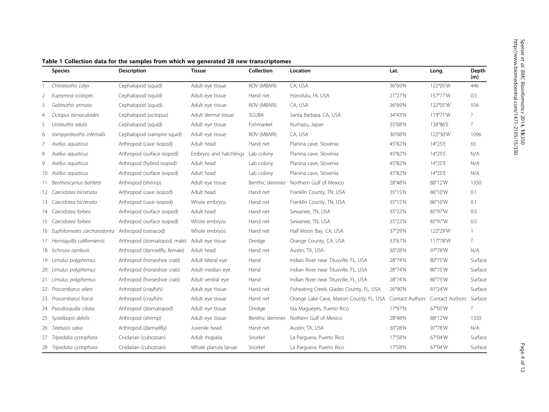| <b>Species</b> |                               | <b>Description</b>            | <b>Tissue</b>                     | Collection      | Location                                                 | Lat.    | Long.           | Depth<br>(m)             |  |
|----------------|-------------------------------|-------------------------------|-----------------------------------|-----------------|----------------------------------------------------------|---------|-----------------|--------------------------|--|
|                | Chiroteuthis calyx            | Cephalopod (squid)            | Adult eye tissue                  | ROV (MBARI)     | CA, USA                                                  | 36°69'N | 122°05'W        | 446                      |  |
| 2              | Euprymna scolopes             | Cephalopod (squid)            | Adult eye tissue                  | Hand net        | Honolulu, HI, USA                                        | 21°27'N | 157°77'W        | 0.5                      |  |
| 3              | Galiteuthis armata            | Cephalopod (squid)            | Adult eye tissue                  | ROV (MBARI)     | CA, USA                                                  | 36°69'N | 122°05'W        | 556                      |  |
| 4              | Octopus bimaculoides          | Cephalopod (octopus)          | Adult dermal tissue               | <b>SCUBA</b>    | Santa Barbara, CA, USA                                   | 34°43'N | 119°71'W        | ?                        |  |
| 5              | Uroteuthis edulis             | Cephalopod (squid)            | Adult eye tissue                  | Fishmarket      | Numazu, Japan                                            | 35°08'N | 138°86'E        | $\gamma$                 |  |
| 6              | Vampyroteuthis infernalis     | Cephalopod (vampire squid)    | Adult eye tissue                  | ROV (MBARI)     | CA, USA                                                  | 36°08'N | 122°30'W        | 1096                     |  |
| 7              | Asellus aquaticus             | Arthropod (cave isopod)       | Adult head                        | Hand net        | Planina cave, Slovenia                                   | 45°82'N | 14°25'E         | 65                       |  |
| 8              | Asellus aquaticus             | Arthropod (surface isopod)    | Embryos and hatchlings Lab colony |                 | Planina cave, Slovenia                                   | 45°82'N | 14°25'E         | N/A                      |  |
| 9              | Asellus aguaticus             | Arthropod (hybrid isopod)     | Adult head                        | Lab colony      | Planina cave, Slovenia                                   | 45°82'N | 14°25'E         | N/A                      |  |
|                | 10 Asellus aquaticus          | Arthropod (surface isopod)    | Adult head                        | Lab colony      | Planina cave, Slovenia                                   | 45°82'N | 14°25'E         | N/A                      |  |
|                | 11 Benthesicymus bartletti    | Arthropod (shrimp)            | Adult eye tissue                  | Benthic skimmer | Northern Gulf of Mexico                                  | 28°48′N | 88°12'W         | 1350                     |  |
|                | 12 Caecidotea bicrenata       | Arthropod (cave isopod)       | Adult head                        | Hand net        | Franklin County, TN, USA                                 | 35°15'N | 86°10'W         | 0.1                      |  |
|                | 13 Caecidotea bicrenata       | Arthropod (cave isopod)       | Whole embryos                     | Hand net        | Franklin County, TN, USA                                 | 35°15'N | 86°10'W         | 0.1                      |  |
|                | 14 Caecidotea forbesi         | Arthropod (surface isopod)    | Adult head                        | Hand net        | Sewanee, TN, USA                                         | 35°22'N | 85°97'W         | 0.5                      |  |
|                | 15 Caecidotea forbesi         | Arthropod (surface isopod)    | Whole embryos                     | Hand net        | Sewanee, TN, USA                                         | 35°22'N | 85°97'W         | 0.5                      |  |
|                | 16 Euphilomedes carcharodonta | Arthropod (ostracod)          | Whole embryos                     | Hand net        | Half Moon Bay, CA, USA                                   | 37°29'N | 122°29'W        |                          |  |
|                | 17 Hemisquilla californiensis | Arthropod (stomatopod, male)  | Adult eye tissue                  | Dredge          | Orange County, CA, USA                                   | 33°67'N | 117°78'W        | $\overline{?}$           |  |
|                | 18 Ischnura ramburii          | Arthropod (damselfly, female) | Adult head                        | Hand net        | Austin, TX, USA                                          | 30°28'N | 97°78'W         | N/A                      |  |
|                | 19 Limulus polyphemus         | Arthropod (horseshoe crab)    | Adult lateral eye                 | Hand            | Indian River near Titusville, FL, USA                    | 28°74'N | 80°75'W         | Surface                  |  |
|                | 20 Limulus polyphemus         | Arthropod (horseshoe crab)    | Adult median eye                  | Hand            | Indian River near Titusville, FL, USA                    | 28°74'N | 80°75'W         | Surface                  |  |
|                | 21 Limulus polyphemus         | Arthropod (horseshoe crab)    | Adult ventral eye                 | Hand            | Indian River near Titusville, FL, USA                    | 28°74'N | 80°75'W         | Surface                  |  |
|                | 22 Procambarus alleni         | Arthropod (crayfish)          | Adult eye tissue                  | Hand net        | Fisheating Creek, Glades County, FL, USA                 | 26°90'N | 81°24'W         | Surface                  |  |
|                | 23 Procambarus franzi         | Arthropod (crayfish)          | Adult eye tissue                  | Hand net        | Orange Lake Cave, Marion County, FL, USA Contact Authors |         | Contact Authors | Surface                  |  |
|                | 24 Pseudosquilla ciliata      | Arthropod (stomatopod)        | Adult eye tissue                  | Dredge          | Isla Magueyes, Puerto Rico                               | 17°97'N | 67°05'W         | $\overline{\phantom{a}}$ |  |
|                | 25 Systellaspis debilis       | Arthropod (shrimp)            | Adult eye tissue                  | Benthic skimmer | Nothern Gulf of Mexico                                   | 28°48′N | 88°12'W         | 1350                     |  |
|                | 26 Telebasis salva            | Arthropod (damselfly)         | Juvenile head                     | Hand net        | Austin, TX, USA                                          | 30°28'N | 97°78'W         | N/A                      |  |
| 27             | Tripedalia cystophora         | Cnidarian (cubozoan)          | Adult rhopalia                    | Snorkel         | La Parquera, Puerto Rico                                 | 17°58'N | 67°04'W         | Surface                  |  |
|                | 28 Tripedalia cystophora      | Cnidarian (cubozoan)          | Whole planula larvae              | Snorkel         | La Parquera, Puerto Rico                                 | 17°58'N | 67°04'W         | Surface                  |  |

# <span id="page-3-0"></span>Table 1 Collection data for the samples from which we generated 28 new transcriptomes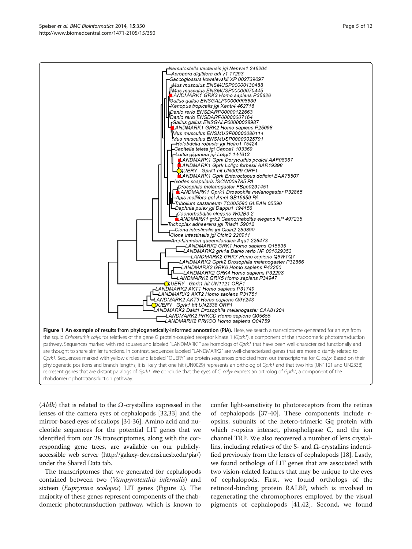(Aldh) that is related to the  $\Omega$ -crystallins expressed in the lenses of the camera eyes of cephalopods [[32,33\]](#page-10-0) and the mirror-based eyes of scallops [[34](#page-10-0)-[36](#page-10-0)]. Amino acid and nucleotide sequences for the potential LIT genes that we identified from our 28 transcriptomes, along with the corresponding gene trees, are available on our publiclyaccessible web server [\(http://galaxy-dev.cnsi.ucsb.edu/pia/](http://galaxy-dev.cnsi.ucsb.edu/pia/)) under the Shared Data tab.

The transcriptomes that we generated for cephalopods contained between two (Vampyroteuthis infernalis) and sixteen (Euprymna scolopes) LIT genes (Figure [2](#page-6-0)). The majority of these genes represent components of the rhabdomeric phototransduction pathway, which is known to

confer light-sensitivity to photoreceptors from the retinas of cephalopods [\[37-40\]](#page-10-0). These components include ropsins, subunits of the hetero-trimeric Gq protein with which r-opsins interact, phospholipase C, and the ion channel TRP. We also recovered a number of lens crystallins, including relatives of the S- and  $\Omega$ -crystallins indentified previously from the lenses of cephalopods [\[18](#page-9-0)]. Lastly, we found orthologs of LIT genes that are associated with two vision-related features that may be unique to the eyes of cephalopods. First, we found orthologs of the retinoid-binding protein RALBP, which is involved in regenerating the chromophores employed by the visual pigments of cephalopods [\[41](#page-10-0),[42\]](#page-10-0). Second, we found

<span id="page-4-0"></span>

Nematostella vectensis jgi Nemve1 246204 -Acropora digitifera adi v1 17293 -<br>Saccoglossus kowalevskii XP 002739097 Mus musculus ENSMUSP00000130488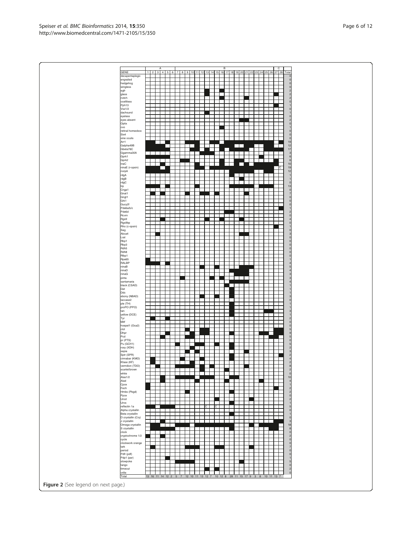Figure 2 (See legend on next page.)

mbs (Pbgd) .<br>Pod

tango

vrille Total

clock<br>
cryptochrome 1/2<br>
cycle<br>
clockwork orange

period<br>Pdfr (pdf) 1999<br>Pdp1 (par) 1999

| <b>GENE</b>                          |   | $\Delta$<br>$1$   2   3   4   5   6 |   | $\overline{7}$ |                |   |  | B. |   |         | 8 9 10 11 12 13 14 15 16 17 18 19 20 21 22 | 23 24  | つら | 26 | $\mathcal{C}$<br>27 28 Total |
|--------------------------------------|---|-------------------------------------|---|----------------|----------------|---|--|----|---|---------|--------------------------------------------|--------|----|----|------------------------------|
| decapentaplegic<br>engrailed         |   |                                     |   |                |                |   |  |    |   |         |                                            |        |    |    |                              |
| hedgehog                             |   |                                     |   |                |                |   |  |    |   |         |                                            |        |    |    |                              |
| wingless<br>egfr                     |   |                                     |   |                |                |   |  |    |   |         |                                            |        |    |    |                              |
| glass                                |   |                                     |   |                |                |   |  |    |   |         |                                            |        |    |    |                              |
| notch<br>ocelliless                  |   |                                     |   |                |                |   |  |    |   |         |                                            |        |    |    |                              |
| Pph13                                |   |                                     |   |                |                |   |  |    |   |         |                                            |        |    |    |                              |
| Vsx1/2                               |   |                                     |   |                |                |   |  |    |   |         |                                            |        |    |    |                              |
| dachsund<br>eyeless                  |   |                                     |   |                |                |   |  |    |   |         |                                            |        |    |    |                              |
| eyes absent                          |   |                                     |   |                |                |   |  |    |   |         |                                            |        |    |    |                              |
| Optix<br>ovo                         |   |                                     |   |                |                |   |  |    |   |         |                                            |        |    |    |                              |
| retinal homeobox                     |   |                                     |   |                |                |   |  |    |   |         |                                            |        |    |    |                              |
| Six4                                 |   |                                     |   |                |                |   |  |    |   |         |                                            |        |    |    |                              |
| sine oculis<br>Arr1                  |   |                                     |   |                |                |   |  |    |   |         |                                            |        |    |    |                              |
| Galpha49B                            |   |                                     |   |                | $\blacksquare$ |   |  |    |   | $\Box$  |                                            | Τ<br>г |    |    |                              |
| Gbeta76C<br>Ggamma30A                |   | <b>TEREST</b>                       |   |                |                |   |  |    |   |         |                                            |        |    | г  |                              |
| Gprk1                                |   |                                     |   |                |                |   |  |    |   |         |                                            |        |    |    |                              |
| Gprk2                                |   |                                     | ா |                |                |   |  |    |   |         |                                            |        |    |    |                              |
| inaC<br>ninaE (r-opsin)              |   | π                                   |   |                |                |   |  |    |   | ┍       |                                            |        |    |    |                              |
| norpA                                |   |                                     |   |                |                |   |  |    |   |         |                                            |        |    |    |                              |
| rdgA<br>$r \, dgB$                   |   |                                     |   |                |                |   |  |    |   |         |                                            |        |    |    |                              |
| rdgC                                 |   |                                     |   |                |                |   |  |    |   |         |                                            |        |    |    |                              |
| trp                                  | ┍ |                                     |   |                |                |   |  |    |   |         |                                            |        |    |    |                              |
| Cnga1<br>Gnat1                       |   |                                     |   |                |                |   |  |    |   |         |                                            |        |    |    |                              |
| Gngt1                                |   |                                     |   |                |                |   |  |    |   |         |                                            |        |    |    |                              |
| Grk1<br>Gucy2f                       |   |                                     |   |                |                |   |  |    |   |         |                                            |        |    |    |                              |
| Pde6a/b/c                            |   |                                     |   |                |                |   |  |    |   |         |                                            |        |    |    |                              |
| Pde6d<br>Rcvm                        |   |                                     |   |                |                |   |  |    |   |         |                                            |        |    |    |                              |
| Rgs9                                 |   |                                     |   |                |                |   |  |    |   |         |                                            |        |    |    |                              |
| Rgs9bp                               |   |                                     |   |                |                |   |  |    |   |         |                                            |        |    |    |                              |
| Rho (c-opsin)<br>Sag                 |   |                                     |   |                |                |   |  |    |   |         |                                            |        |    |    |                              |
| Abca4                                |   |                                     |   |                |                |   |  |    |   |         |                                            |        |    |    |                              |
| Lrat<br>Rbp1                         |   |                                     |   |                |                |   |  |    |   |         |                                            |        |    |    |                              |
| Rbp3                                 |   |                                     |   |                |                |   |  |    |   |         |                                            |        |    |    |                              |
| Rdh <sub>5</sub><br>Rdh <sub>8</sub> |   |                                     |   |                |                |   |  |    |   |         |                                            |        |    |    |                              |
| Ribp1                                |   |                                     |   |                |                |   |  |    |   |         |                                            |        |    |    |                              |
| Rpe65                                |   |                                     |   |                |                |   |  |    |   |         |                                            |        |    |    |                              |
| RALBP<br>ninaB                       |   |                                     |   |                |                |   |  |    |   |         |                                            |        |    |    |                              |
| ninaD                                |   |                                     |   |                |                |   |  |    |   |         |                                            |        |    |    |                              |
| ninaG<br>pinta                       |   |                                     |   |                |                |   |  |    |   | a da ba |                                            |        |    |    |                              |
| santamaria                           |   |                                     |   |                |                |   |  |    |   |         |                                            |        |    |    |                              |
| black (CSAD)                         |   |                                     |   |                |                |   |  |    |   |         |                                            |        |    |    |                              |
| Dat<br>Ddc                           |   |                                     |   |                |                |   |  |    |   |         |                                            |        |    |    |                              |
| ebony (NBAD)                         |   |                                     |   |                |                |   |  |    |   |         |                                            |        |    |    |                              |
| laccase2<br>ple (TH)                 |   |                                     |   |                |                |   |  |    | Ξ |         |                                            |        |    |    |                              |
| proPO (PPO)                          |   |                                     |   |                |                |   |  |    |   |         |                                            |        |    |    |                              |
| tan<br>yellow (DCE)                  |   |                                     |   |                |                |   |  |    |   |         |                                            |        |    |    |                              |
| Tyr                                  |   |                                     |   |                |                |   |  |    |   |         |                                            |        |    |    |                              |
| Mitf                                 |   |                                     |   |                |                |   |  |    |   |         |                                            |        |    |    |                              |
| hoepel1 (Oca2)<br>clot               |   |                                     |   |                |                |   |  |    |   |         |                                            |        |    |    |                              |
| Dhpr                                 |   |                                     |   |                |                |   |  |    |   |         |                                            |        |    |    |                              |
| Pcd<br>pr (PTS)                      |   |                                     |   |                |                |   |  |    |   |         |                                            |        |    |    |                              |
| Pu (GCH1)                            |   |                                     |   |                |                |   |  |    |   |         |                                            |        |    |    |                              |
| rosy (XDH)                           |   |                                     |   |                |                | ¬ |  |    |   |         |                                            |        |    |    |                              |
| sepia<br>Sptr (SPR)                  |   |                                     |   |                |                |   |  |    |   |         |                                            |        |    |    |                              |
| cinnabar (KMO)                       |   |                                     |   |                |                |   |  |    |   |         |                                            |        |    |    |                              |
| Kfase (KF)<br>vermilion (TDO)        |   |                                     |   |                |                |   |  |    |   |         |                                            |        |    |    |                              |
| scarlet/brown                        |   |                                     |   |                |                |   |  |    |   |         |                                            |        |    |    |                              |
| white<br>Alas1/2                     |   |                                     |   |                |                |   |  |    |   |         |                                            |        |    |    |                              |
| Alad                                 |   |                                     |   |                |                |   |  |    |   |         |                                            |        |    |    |                              |
| Cpox                                 |   |                                     |   |                |                |   |  |    |   |         |                                            |        |    |    |                              |

Fech 1 1

┯

Urod 1 1 Uros 1 reflectin 1a 1 1 1 1 1 C C Alpha crystallin Beta crystallin 1 D crystallin (Cry) J crystallin 1 1 1

Omega crystallin 1 1 1 1 1 1 1 1 1 1 1 1 1 1 1 1 1 1 S crystallin 1 1 1 1 1 1 1 1

slowpoke 1 1 1 1 1

timeout 1 1

lark 1 1 1 1 1 1 1

13 16 11 14 12 2 5 7 12 10 11 13 12 7 10 12 8 28 11 15 17 9 3 8 10 11 13 7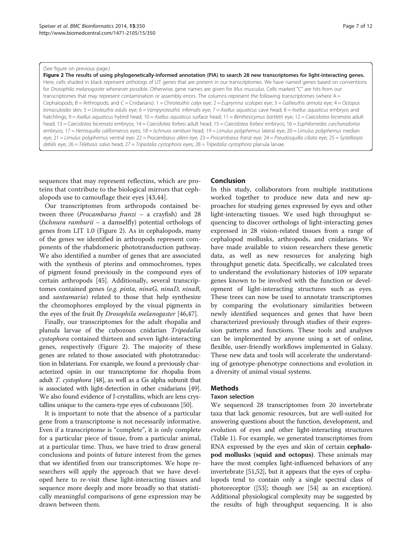#### <span id="page-6-0"></span>(See figure on previous page.)

Figure 2 The results of using phylogenetically-informed annotation (PIA) to search 28 new transcriptomes for light-interacting genes. Here, cells shaded in black represent orthologs of LIT genes that are present in our transcriptomes. We have named genes based on conventions for Drosophila melanogaster whenever possible. Otherwise, gene names are given for Mus musculus. Cells marked "C" are hits from our transcriptomes that may represent contamination or assembly errors. The columns represent the following transcriptomes (where  $A =$ Cephalopods; B = Arthropods; and C = Cnidarians): 1 = Chiroteuthis calyx eye; 2 = Euprymna scolopes eye; 3 = Galiteuthis armata eye; 4 = Octopus bimaculoides skin; 5 = Uroteuthis edulis eye; 6 = Vampyroteuthis infernalis eye; 7 = Asellus aquaticus cave head; 8 = Asellus aquaticus embryos and hatchlings; 9 = Asellus aquaticus hybrid head; 10 = Asellus aquaticus surface head; 11 = Benthesicymus bartletti eye; 12 = Caecidotea bicrenata adult head; 13 = Caecidotea bicrenata embryos; 14 = Caecidotea forbesi adult head; 15 = Caecidotea forbesi embryos; 16 = Euphilomedes carcharodonta embryos; 17 = Hemisquilla californiensis eyes; 18 = Ischnura ramburii head; 19 = Limulus polyphemus lateral eye; 20 = Limulus polyphemus median eye; 21 = Limulus polyphemus ventral eye; 22 = Procambarus alleni eye; 23 = Procambarus franzi eye; 24 = Pseudosquilla ciliata eye; 25 = Systellaspis debilis eye; 26 = Telebasis salva head; 27 = Tripedalia cystophora eyes; 28 = Tripedalia cystophora planula larvae.

sequences that may represent reflectins, which are proteins that contribute to the biological mirrors that cephalopods use to camouflage their eyes [[43,44\]](#page-10-0).

## Conclusion

Our transcriptomes from arthropods contained between three (Procambarus franzi - a crayfish) and 28 (Ischnura ramburii – a damselfly) potential orthologs of genes from LIT 1.0 (Figure 2). As in cephalopods, many of the genes we identified in arthropods represent components of the rhabdomeric phototransduction pathway. We also identified a number of genes that are associated with the synthesis of pterins and ommochromes, types of pigment found previously in the compound eyes of certain arthropods [[45\]](#page-10-0). Additionally, several transcriptomes contained genes (e.g. pinta, ninaG, ninaD, ninaB, and santamaria) related to those that help synthesize the chromophores employed by the visual pigments in the eyes of the fruit fly Drosophila melanogaster [[46,47\]](#page-10-0).

Finally, our transcriptomes for the adult rhopalia and planula larvae of the cubozoan cnidarian Tripedalia cystophora contained thirteen and seven light-interacting genes, respectively (Figure 2). The majority of these genes are related to those associated with phototransduction in bilaterians. For example, we found a previously characterized opsin in our transcriptome for rhopalia from adult T. cystophora [\[48\]](#page-10-0), as well as a Gs alpha subunit that is associated with light-detection in other cnidarians [\[49](#page-10-0)]. We also found evidence of J-crystallins, which are lens crystallins unique to the camera-type eyes of cubozoans [[50\]](#page-10-0).

It is important to note that the absence of a particular gene from a transcriptome is not necessarily informative. Even if a transcriptome is "complete", it is only complete for a particular piece of tissue, from a particular animal, at a particular time. Thus, we have tried to draw general conclusions and points of future interest from the genes that we identified from our transcriptomes. We hope researchers will apply the approach that we have developed here to re-visit these light-interacting tissues and sequence more deeply and more broadly so that statistically meaningful comparisons of gene expression may be drawn between them.

In this study, collaborators from multiple institutions worked together to produce new data and new approaches for studying genes expressed by eyes and other light-interacting tissues. We used high throughput sequencing to discover orthologs of light-interacting genes expressed in 28 vision-related tissues from a range of cephalopod mollusks, arthropods, and cnidarians. We have made available to vision researchers these genetic data, as well as new resources for analyzing high throughput genetic data. Specifically, we calculated trees to understand the evolutionary histories of 109 separate genes known to be involved with the function or development of light-interacting structures such as eyes. These trees can now be used to annotate transcriptomes by comparing the evolutionary similarities between newly identified sequences and genes that have been characterized previously through studies of their expression patterns and functions. These tools and analyses can be implemented by anyone using a set of online, flexible, user-friendly workflows implemented in Galaxy. These new data and tools will accelerate the understanding of genotype-phenotype connections and evolution in a diversity of animal visual systems.

# **Methods**

## Taxon selection

We sequenced 28 transcriptomes from 20 invertebrate taxa that lack genomic resources, but are well-suited for answering questions about the function, development, and evolution of eyes and other light-interacting structures (Table [1](#page-3-0)). For example, we generated transcriptomes from RNA expressed by the eyes and skin of certain cephalopod mollusks (squid and octopus). These animals may have the most complex light-influenced behaviors of any invertebrate [[51,52\]](#page-10-0), but it appears that the eyes of cephalopods tend to contain only a single spectral class of photoreceptor ([\[53\]](#page-10-0); though see [\[54\]](#page-10-0) as an exception). Additional physiological complexity may be suggested by the results of high throughput sequencing. It is also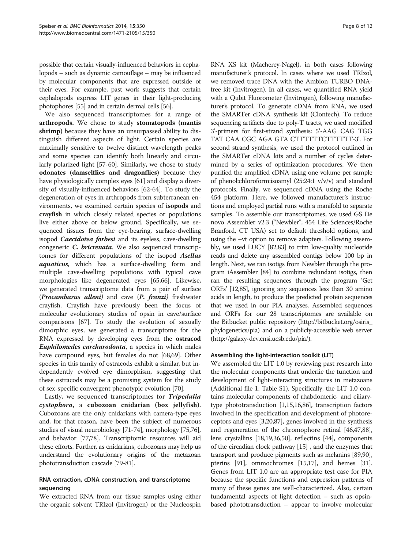possible that certain visually-influenced behaviors in cephalopods – such as dynamic camouflage – may be influenced by molecular components that are expressed outside of their eyes. For example, past work suggests that certain cephalopods express LIT genes in their light-producing photophores [[55](#page-10-0)] and in certain dermal cells [[56](#page-10-0)].

We also sequenced transcriptomes for a range of arthropods. We chose to study stomatopods (mantis shrimp) because they have an unsurpassed ability to distinguish different aspects of light. Certain species are maximally sensitive to twelve distinct wavelength peaks and some species can identify both linearly and circularly polarized light [\[57-60](#page-10-0)]. Similarly, we chose to study odonates (damselflies and dragonflies) because they have physiologically complex eyes [\[61\]](#page-10-0) and display a diversity of visually-influenced behaviors [\[62-64\]](#page-10-0). To study the degeneration of eyes in arthropods from subterranean environments, we examined certain species of isopods and crayfish in which closely related species or populations live either above or below ground. Specifically, we sequenced tissues from the eye-bearing, surface-dwelling isopod *Caecidotea forbesi* and its eyeless, cave-dwelling congeneric *C. bricrenata*. We also sequenced transcriptomes for different populations of the isopod Asellus aquaticus, which has a surface-dwelling form and multiple cave-dwelling populations with typical cave morphologies like degenerated eyes [[65,66](#page-10-0)]. Likewise, we generated transcriptome data from a pair of surface (Procambarus alleni) and cave (P. franzi) freshwater crayfish. Crayfish have previously been the focus of molecular evolutionary studies of opsin in cave/surface comparisons [[67](#page-10-0)]. To study the evolution of sexually dimorphic eyes, we generated a transcriptome for the RNA expressed by developing eyes from the ostracod Euphilomedes carcharodonta, a species in which males have compound eyes, but females do not [\[68,69](#page-10-0)]. Other species in this family of ostracods exhibit a similar, but independently evolved eye dimorphism, suggesting that these ostracods may be a promising system for the study of sex-specific convergent phenotypic evolution [\[70\]](#page-10-0).

Lastly, we sequenced transcriptomes for Tripedalia cystophora, a cubozoan cnidarian (box jellyfish). Cubozoans are the only cnidarians with camera-type eyes and, for that reason, have been the subject of numerous studies of visual neurobiology [\[71-74\]](#page-10-0), morphology [\[75,76](#page-10-0)], and behavior [\[77,78\]](#page-10-0). Transcriptomic resources will aid these efforts. Further, as cnidarians, cubozoans may help us understand the evolutionary origins of the metazoan phototransduction cascade [\[79-](#page-10-0)[81\]](#page-11-0).

# RNA extraction, cDNA construction, and transcriptome sequencing

We extracted RNA from our tissue samples using either the organic solvent TRIzol (Invitrogen) or the Nucleospin

RNA XS kit (Macherey-Nagel), in both cases following manufacturer's protocol. In cases where we used TRIzol, we removed trace DNA with the Ambion TURBO DNAfree kit (Invitrogen). In all cases, we quantified RNA yield with a Qubit Fluorometer (Invitrogen), following manufacturer's protocol. To generate cDNA from RNA, we used the SMARTer cDNA synthesis kit (Clontech). To reduce sequencing artifacts due to poly-T tracts, we used modified 3'-primers for first-strand synthesis: 5'-AAG CAG TGG TAT CAA CGC AGA GTA CTTTTTTCTTTTTT-3'. For second strand synthesis, we used the protocol outlined in the SMARTer cDNA kits and a number of cycles determined by a series of optimization procedures. We then purified the amplified cDNA using one volume per sample of phenol:chloroform:isoamyl (25:24:1 v/v/v) and standard protocols. Finally, we sequenced cDNA using the Roche 454 platform. Here, we followed manufacturer's instructions and employed partial runs with a manifold to separate samples. To assemble our transcriptomes, we used GS De novo Assembler v2.3 ("Newbler"; 454 Life Sciences/Roche Branford, CT USA) set to default threshold options, and using the –vt option to remove adapters. Following assembly, we used LUCY [\[82,83](#page-11-0)] to trim low-quality nucleotide reads and delete any assembled contigs below 100 bp in length. Next, we ran isotigs from Newbler through the program iAssembler [[84\]](#page-11-0) to combine redundant isotigs, then ran the resulting sequences through the program 'Get ORFs' [\[12](#page-9-0)[,85\]](#page-11-0), ignoring any sequences less than 30 amino acids in length, to produce the predicted protein sequences that we used in our PIA analyses. Assembled sequences and ORFs for our 28 transcriptomes are available on the Bitbucket public repository [\(http://bitbucket.org/osiris\\_](http://bitbucket.org/osiris_phylogenetics/pia) [phylogenetics/pia\)](http://bitbucket.org/osiris_phylogenetics/pia) and on a publicly-accessible web server ([http://galaxy-dev.cnsi.ucsb.edu/pia/\)](http://galaxy-dev.cnsi.ucsb.edu/pia/).

# Assembling the light-interaction toolkit (LIT)

We assembled the LIT 1.0 by reviewing past research into the molecular components that underlie the function and development of light-interacting structures in metazoans (Additional file [1](#page-8-0): Table S1). Specifically, the LIT 1.0 contains molecular components of rhabdomeric- and ciliarytype phototransduction [\[1,15](#page-9-0),[16](#page-9-0)[,86\]](#page-11-0), transcription factors involved in the specification and development of photoreceptors and eyes [[3,20](#page-9-0)[,87\]](#page-11-0), genes involved in the synthesis and regeneration of the chromophore retinal [\[46,47,](#page-10-0)[88](#page-11-0)], lens crystallins [\[18,19](#page-9-0)[,36,50\]](#page-10-0), reflectins [\[44\]](#page-10-0), components of the circadian clock pathway [\[15](#page-9-0)] , and the enzymes that transport and produce pigments such as melanins [\[89,90](#page-11-0)], pterins [\[91\]](#page-11-0), ommochromes [[15,17](#page-9-0)], and hemes [[31](#page-10-0)]. Genes from LIT 1.0 are an appropriate test case for PIA because the specific functions and expression patterns of many of these genes are well-characterized. Also, certain fundamental aspects of light detection – such as opsinbased phototransduction – appear to involve molecular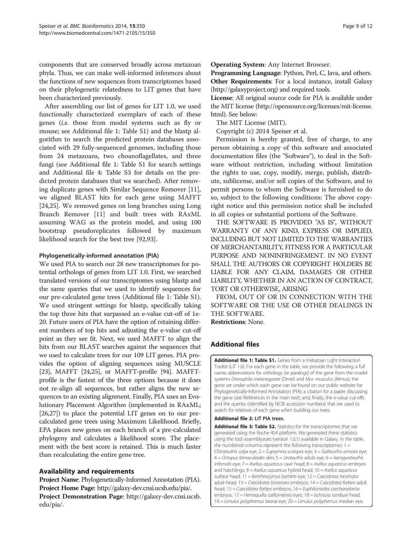<span id="page-8-0"></span>components that are conserved broadly across metazoan phyla. Thus, we can make well-informed inferences about the functions of new sequences from transcriptomes based on their phylogenetic relatedness to LIT genes that have been characterized previously.

After assembling our list of genes for LIT 1.0, we used functionally characterized exemplars of each of these genes (i.e. those from model systems such as fly or mouse; see Additional file 1: Table S1) and the blastp algorithm to search the predicted protein databases associated with 29 fully-sequenced genomes, including those from 24 metazoans, two choanoflagellates, and three fungi (see Additional file 1: Table S1 for search settings and Additional file [4](#page-9-0): Table S3 for details on the predicted protein databases that we searched). After removing duplicate genes with Similar Sequence Remover [\[11](#page-9-0)], we aligned BLAST hits for each gene using MAFFT [[24,25\]](#page-9-0). We removed genes on long branches using Long Branch Remover [\[11\]](#page-9-0) and built trees with RAxML assuming WAG as the protein model, and using 100 bootstrap pseudoreplicates followed by maximum likelihood search for the best tree [\[92,93](#page-11-0)].

# Phylogenetically-informed annotation (PIA)

We used PIA to search our 28 new transcriptomes for potential orthologs of genes from LIT 1.0. First, we searched translated versions of our transcriptomes using blastp and the same queries that we used to identify sequences for our pre-calculated gene trees (Additional file 1: Table S1). We used stringent settings for blastp, specifically taking the top three hits that surpassed an e-value cut-off of 1e-20. Future users of PIA have the option of retaining different numbers of top hits and adjusting the e-value cut-off point as they see fit. Next, we used MAFFT to align the hits from our BLAST searches against the sequences that we used to calculate trees for our 109 LIT genes. PIA provides the option of aligning sequences using MUSCLE [[23](#page-9-0)], MAFFT [\[24,25\]](#page-9-0), or MAFFT-profile [\[94\]](#page-11-0). MAFFTprofile is the fastest of the three options because it does not re-align all sequences, but rather aligns the new sequences to an existing alignment. Finally, PIA uses an Evolutionary Placement Algorithm (implemented in RAxML; [[26,27](#page-9-0)]) to place the potential LIT genes on to our precalculated gene trees using Maximum Likelihood. Briefly, EPA places new genes on each branch of a pre-calculated phylogeny and calculates a likelihood score. The placement with the best score is retained. This is much faster than recalculating the entire gene tree.

# Availability and requirements

Project Name: Phylogenetically-Informed Annotation (PIA). Project Home Page:<http://galaxy-dev.cnsi.ucsb.edu/pia/>. Project Demonstration Page: [http://galaxy-dev.cnsi.ucsb.](http://galaxy-dev.cnsi.ucsb.edu/pia/) [edu/pia/](http://galaxy-dev.cnsi.ucsb.edu/pia/).

Operating System: Any Internet Browser.

Programming Language: Python, Perl, C, Java, and others. Other Requirements: For a local instance, install Galaxy ([http://galaxyproject.org\)](http://galaxyproject.org) and required tools.

License: All original source code for PIA is available under the MIT license [\(http://opensource.org/licenses/mit-license.](http://opensource.org/licenses/mit-license.html) [html](http://opensource.org/licenses/mit-license.html)). See below:

The MIT License (MIT).

Copyright (c) 2014 Speiser et al.

Permission is hereby granted, free of charge, to any person obtaining a copy of this software and associated documentation files (the "Software"), to deal in the Software without restriction, including without limitation the rights to use, copy, modify, merge, publish, distribute, sublicense, and/or sell copies of the Software, and to permit persons to whom the Software is furnished to do so, subject to the following conditions: The above copyright notice and this permission notice shall be included in all copies or substantial portions of the Software.

THE SOFTWARE IS PROVIDED "AS IS", WITHOUT WARRANTY OF ANY KIND, EXPRESS OR IMPLIED, INCLUDING BUT NOT LIMITED TO THE WARRANTIES OF MERCHANTABILITY, FITNESS FOR A PARTICULAR PURPOSE AND NONINFRINGEMENT. IN NO EVENT SHALL THE AUTHORS OR COPYRIGHT HOLDERS BE LIABLE FOR ANY CLAIM, DAMAGES OR OTHER LIABILITY, WHETHER IN AN ACTION OF CONTRACT, TORT OR OTHERWISE, ARISING

FROM, OUT OF OR IN CONNECTION WITH THE SOFTWARE OR THE USE OR OTHER DEALINGS IN THE SOFTWARE.

Restrictions: None.

# Additional files

[Additional file 1: Table S1.](http://www.biomedcentral.com/content/supplementary/s12859-014-0350-x-s1.xlsx) Genes from a metazoan Light Interaction Toolkit (LIT 1.0). For each gene in the table, we provide the following: a full name; abbreviations for orthologs (or paralogs) of the gene from the model systems Drosophila melanogaster (Dmel) and Mus musculus (Mmus); the gene set under which each gene can be found on our public website for Phylogenetically-Informed Annotation (PIA); a citation for a paper discussing the gene (see References in the main text); and, finally, the e-value cut-offs and the queries (identified by NCBI accession numbers) that we used to search for relatives of each gene when building our trees.

## [Additional file 2:](http://www.biomedcentral.com/content/supplementary/s12859-014-0350-x-s2.pdf) LIT PIA trees.

[Additional file 3: Table S2.](http://www.biomedcentral.com/content/supplementary/s12859-014-0350-x-s3.xlsx) Statistics for the transcriptomes that we generated using the Roche 454 platform. We generated these statistics using the tool assemblystats (version 1.0.1) available in Galaxy. In the table, the numbered columns represent the following transcriptomes:  $1 =$ Chiroteuthis calyx eye;  $2 = Euprymna$  scolopes eye;  $3 = G$ aliteuthis armata eye;  $4 = Octopus bimaculoides skin; 5 = Uroteuthis edulis eye; 6 = Vampyroteuthis$  $infernalis eye; 7 = Asellus aquaticus cave head; 8 = Asellus aquaticus embryos$ and hatchlings;  $9 =$  Asellus aquaticus hybrid head;  $10 =$  Asellus aquaticus surface head; 11 = Benthesicymus bartletti eye; 12 = Caecidotea bicrenata adult head; 13 = Caecidotea bicrenata embryos; 14 = Caecidotea forbesi adult head; 15 = Caecidotea forbesi embryos; 16 = Euphilomedes carcharodonta embryos; 17 = Hemisquilla californiensis eyes; 18 = Ischnura ramburii head; 19 = Limulus polyphemus lateral eye; 20 = Limulus polyphemus median eye;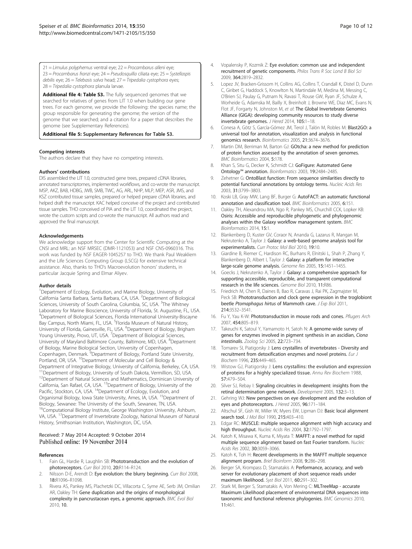<span id="page-9-0"></span> $21 =$  Limulus polyphemus ventral eye;  $22 =$  Procambarus alleni eye; 23 = Procambarus franzi eye; 24 = Pseudosquilla ciliata eye; 25 = Systellaspis debilis eye; 26 = Telebasis salva head; 27 = Tripedalia cystophora eyes; 28 = Tripedalia cystophora planula larvae.

[Additional file 4: Table S3.](http://www.biomedcentral.com/content/supplementary/s12859-014-0350-x-s4.xlsx) The fully sequenced genomes that we searched for relatives of genes from LIT 1.0 when building our gene trees. For each genome, we provide the following: the species name; the group responsible for generating the genome; the version of the genome that we searched; and a citation for a paper that describes the genome (see Supplementary References).

[Additional file 5:](http://www.biomedcentral.com/content/supplementary/s12859-014-0350-x-s5.docx) Supplementary References for Table S3.

#### Competing interests

The authors declare that they have no competing interests.

#### Authors' contributions

DIS assembled the LIT 1.0, constructed gene trees, prepared cDNA libraries, annotated transcriptomes, implemented workflows, and co-wrote the manuscript. MSP, AKZ, BAB, HDBG, JWB, SMB, TWC, AG, ARL, NHP, MLP, MEP, ASR, JMS, and KSZ contributed tissue samples, prepared or helped prepare cDNA libraries, and helped draft the manuscript. KAC helped conceive of the project and contributed tissue samples. THO conceived of PIA and the LIT 1.0, coordinated the project, wrote the custom scripts and co-wrote the manuscript. All authors read and approved the final manuscript.

#### Acknowledgements

We acknowledge support from the Center for Scientific Computing at the CNSI and MRL: an NSF MRSEC (DMR-1121053) and NSF CNS-0960316. This work was funded by NSF EAGER-1045257 to THO. We thank Paul Weakliem and the Life Sciences Computing Group (LSCG) for extensive technical assistance. Also, thanks to THO's Macroevolution honors' students, in particular Jacquie Spring and Elmar Aliyev.

#### Author details

<sup>1</sup>Department of Ecology, Evolution, and Marine Biology, University of California Santa Barbara, Santa Barbara, CA, USA. <sup>2</sup>Department of Biological Sciences, University of South Carolina, Columbia, SC, USA. <sup>3</sup>The Whitney Laboratory for Marine Bioscience, University of Florida, St. Augustine, FL, USA. 4 Department of Biological Sciences, Florida International University-Biscayne Bay Campus, North Miami, FL, USA. <sup>5</sup>Florida Museum of Natural History, University of Florida, Gainesville, FL, USA. <sup>6</sup>Department of Biology, Brigham Young University, Provo, UT, USA. <sup>7</sup>Department of Biological Sciences, University of Maryland Baltimore County, Baltimore, MD, USA. <sup>8</sup>Department of Biology, Marine Biological Section, University of Copenhagen, Copenhagen, Denmark. <sup>9</sup>Department of Biology, Portland State University, Portland, OR, USA. <sup>10</sup>Department of Molecular and Cell Biology & Department of Integrative Biology, University of California, Berkeley, CA, USA. <sup>1</sup>Department of Biology, University of South Dakota, Vermillion, SD, USA. <sup>12</sup>Department of Natural Sciences and Mathematics, Dominican University of California, San Rafael, CA, USA. 13Department of Biology, University of the Pacific, Stockton, CA, USA. <sup>14</sup>Department of Ecology, Evolution, and Organismal Biology, Iowa State University, Ames, IA, USA. 15Department of Biology, Sewanee: The University of the South, Sewanee, TN, USA. <sup>16</sup>Computational Biology Institute, George Washington University, Ashburn, VA, USA. 17Department of Invertebrate Zoology, National Museum of Natural History, Smithsonian Institution, Washington, DC, USA.

#### Received: 7 May 2014 Accepted: 9 October 2014 Published online: 19 November 2014

#### References

- 1. Fain GL, Hardie R, Laughlin SB: Phototransduction and the evolution of photoreceptors. Curr Biol 2010, 20:R114–R124.
- Nilsson D-E, Arendt D: Eye evolution: the blurry beginning. Curr Biol 2008, 18:R1096–R1098.
- Rivera AS, Pankey MS, Plachetzki DC, Villacorta C, Syme AE, Serb JM, Omilian AR, Oakley TH: Gene duplication and the origins of morphological complexity in pancrustacean eyes, a genomic approach. BMC Evol Biol 2010, 10.
- 4. Vopalensky P, Kozmik Z: Eye evolution: common use and independent recruitment of genetic components. Philos Trans R Soc Lond B Biol Sci 2009, 364:2819–2832.
- 5. Lopez JV, Bracken-Grissom H, Collins AG, Collins T, Crandall K, Distel D, Dunn C, Giribet G, Haddock S, Knowlton N, Martindale M, Medina M, Messing C, O'Brien SJ, Paulay G, Putnam N, Ravasi T, Rouse GW, Ryan JF, Schulze A, Worheide G, Adamska M, Bailly X, Breinholt J, Browne WE, Diaz MC, Evans N, Flot JF, Forgarty N, Johnston M, et al: The Global Invertebrate Genomics Alliance (GIGA): developing community resources to study diverse invertebrate genomes. J Hered 2014, 105:1–18.
- Conesa A, Götz S, García-Gómez JM, Terol J, Talón M, Robles M: Blast2GO: a universal tool for annotation, visualization and analysis in functional genomics research. Bioinformatics 2005, 21:3674–3676.
- 7. Martin DM, Berriman M, Barton GJ: GOtcha: a new method for prediction of protein function assessed by the annotation of seven genomes. BMC Bioinformatics 2004, 5:178.
- 8. Khan S, Situ G, Decker K, Schmidt CJ: GoFigure: Automated Gene Ontology™ annotation. Bioinformatics 2003, 19:2484–2485.
- 9. Zehetner G: OntoBlast function: From sequence similarities directly to potential functional annotations by ontology terms. Nucleic Acids Res .<br>2003, **31:**3799–3803.
- 10. Koski LB, Gray MW, Lang BF, Burger G: AutoFACT: an automatic functional annotation and classification tool. BMC Bioinformatics 2005, 6:151.
- 11. Oakley TH, Alexandrou MA, Ngo R, Pankey MS, Churchill CCK, Lopker KB: Osiris: Accessible and reproducible phylogenetic and phylogenomic analyses within the Galaxy workflow management system. BMC Bioinformatics 2014, 15:1.
- 12. Blankenberg D, Kuster GV, Coraor N, Ananda G, Lazarus R, Mangan M, Nekrutenko A, Taylor J: Galaxy: a web‐based genome analysis tool for experimentalists. Curr Protoc Mol Biol 2010, 19:10.
- 13. Giardine B, Riemer C, Hardison RC, Burhans R, Elnitski L, Shah P, Zhang Y, Blankenberg D, Albert I, Taylor J: Galaxy: a platform for interactive large-scale genome analysis. Genome Res 2005, 15:1451–1455.
- 14. Goecks J, Nekrutenko A, Taylor J: Galaxy: a comprehensive approach for supporting accessible, reproducible, and transparent computational research in the life sciences. Genome Biol 2010, 11:R86.
- 15. Friedrich M, Chen R, Daines B, Bao R, Caravas J, Rai PK, Zagmajster M, Peck SB: Phototransduction and clock gene expression in the troglobiont beetle Ptomaphagus hirtus of Mammoth cave. J Exp Biol 2011, 214:3532–3541.
- 16. Fu Y, Yau K-W: Phototransduction in mouse rods and cones. Pflugers Arch 2007, 454:805–819.
- 17. Takeuchi K, Satoul Y, Yamamoto H, Satoh N: A genome-wide survey of genes for enzymes involved in pigment synthesis in an ascidian, Ciona intestinalis. Zoolog Sci 2005, 22:723–734.
- 18. Tomarev SI, Piatigorsky J: Lens crystallins of invertebrates Diversity and recruitment from detoxification enzymes and novel proteins. Eur J Biochem 1996, 235:449–465.
- 19. Wistow GJ, Piatigorsky J: Lens crystallins: the evolution and expression of proteins for a highly specialized tissue. Annu Rev Biochem 1988, 57:479–504.
- 20. Silver SJ, Rebay I: Signaling circuitries in development: insights from the retinal determination gene network. Development 2005, 132:3–13.
- 21. Gehring WJ: New perspectives on eye development and the evolution of eyes and photoreceptors. J Hered 2005, 96:171–184.
- 22. Altschul SF, Gish W, Miller W, Myers EW, Lipman DJ: Basic local alignment search tool. *J Mol Biol* 1990, 215:403-410.
- 23. Edgar RC: MUSCLE: multiple sequence alignment with high accuracy and high throughput. Nucleic Acids Res 2004, 32:1792–1797.
- 24. Katoh K, Misawa K, Kuma K, Miyata T: MAFFT: a novel method for rapid multiple sequence alignment based on fast Fourier transform. Nucleic Acids Res 2002, 30:3059–3066.
- 25. Katoh K, Toh H: Recent developments in the MAFFT multiple sequence alignment program. Brief Bioinform 2008, 9:286–298.
- 26. Berger SA, Krompass D, Stamatakis A: Performance, accuracy, and web server for evolutionary placement of short sequence reads under maximum likelihood. Syst Biol 2011, 60:291–302.
- 27. Stark M, Berger S, Stamatakis A, Von Mering C: MLTreeMap accurate Maximum Likelihood placement of environmental DNA sequences into taxonomic and functional reference phylogenies. BMC Genomics 2010, 11:461.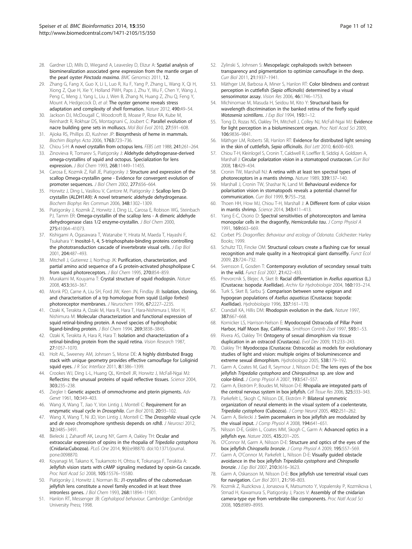- <span id="page-10-0"></span>28. Gardner LD, Mills D, Wiegand A, Leavesley D, Elizur A: Spatial analysis of biomineralization associated gene expression from the mantle organ of the pearl oyster Pinctada maxima. BMC Genomics 2011, 12.
- 29. Zhang G, Fang X, Guo X, Li L, Luo R, Xu F, Yang P, Zhang L, Wang X, Qi H, Xiong Z, Que H, Xie Y, Holland PWH, Paps J, Zhu Y, Wu F, Chen Y, Wang J, Peng C, Meng J, Yang L, Liu J, Wen B, Zhang N, Huang Z, Zhu Q, Feng Y, Mount A, Hedgecock D, et al: The ovster genome reveals stress adaptation and complexity of shell formation. Nature 2012, 490:49–54.
- 30. Jackson DJ, McDougall C, Woodcroft B, Moase P, Rose RA, Kube M, Reinhardt R, Rokhsar DS, Montagnani C, Joubert C: Parallel evolution of nacre building gene sets in molluscs. Mol Biol Evol 2010, 27:591–608.
- 31. Ajioka RS, Phillips JD, Kushner JP: Biosynthesis of heme in mammals. Biochim Biophys Acta 2006, 1763:723–736.
- 32. Chiou S-H: A novel crystallin from octopus lens. FEBS Lett 1988, 241:261-264.
- 33. Zinovieva R, Tomarev S, Piatigorsky J: Aldehyde dehydrogenase-derived omega-crystallins of squid and octopus. Specialization for lens expression. J Biol Chem 1993, 268:11449–11455.
- 34. Carosa E, Kozmik Z, Rall JE, Piatigorsky J: Structure and expression of the scallop Omega-crystallin gene - Evidence for convergent evolution of promoter sequences. J Biol Chem 2002, 277:656–664.
- 35. Horwitz J, Ding L, Vasiliou V, Cantore M, Piatigorsky J: Scallop lens Ωcrystallin (ALDH1A9): A novel tetrameric aldehyde dehydrogenase. Biochem Biophys Res Commun 2006, 348:1302–1309.
- 36. Piatigorsky J, Kozmik Z, Horwitz J, Ding LL, Carosa E, Robison WG, Steinbach PJ, Tamm ER: Omega-crystallin of the scallop lens - A dimeric aldehyde dehydrogenase class 1/2 enzyme-crystallin. J Biol Chem 2000, 275:41064–41073.
- 37. Kishigami A, Ogasawara T, Watanabe Y, Hirata M, Maeda T, Hayashi F, Tsukahara Y: Inositol-1, 4, 5-trisphosphate-binding proteins controlling the phototransduction cascade of invertebrate visual cells. *J Exp Biol* 2001, 204:487–493.
- 38. Mitchell J, Gutierrez J, Northup JK: Purification, characterization, and partial amino acid sequence of a G protein-activated phospholipase C from squid photoreceptors. J Biol Chem 1995, 270:854-859.
- 39. Murakami M, Kouyama T: Crystal structure of squid rhodopsin. Nature 2008, 453:363–367.
- 40. Monk PD, Carne A, Liu SH, Ford JW, Keen JN, Findlay JB: Isolation, cloning, and characterisation of a trp homologue from squid (Loligo forbesi) photoreceptor membranes. J Neurochem 1996, 67:2227–2235.
- 41. Ozaki K, Terakita A, Ozaki M, Hara R, Hara T, Hara-Nishimura I, Mori H, Nishimura M: Molecular characterization and functional expression of squid retinal-binding protein. A novel species of hydrophobic ligand-binding protein. J Biol Chem 1994, 269:3838–3845.
- 42. Ozaki K, Terakita A, Hara R, Hara T: Isolation and characterization of a retinal-binding protein from the squid retina. Vision Research 1987, 27:1057–1070.
- 43. Holt AL, Sweeney AM, Johnsen S, Morse DE: A highly distributed Bragg stack with unique geometry provides effective camouflage for Loliginid squid eyes. *J R Soc Interface* 2011, 8:1386-1399.
- Crookes WJ, Ding L-L, Huang QL, Kimbell JR, Horwitz J, McFall-Ngai MJ: Reflectins: the unusual proteins of squid reflective tissues. Science 2004, 303:235–238.
- 45. Ziegler I: Genetic aspects of ommochrome and pterin pigments. Adv Genet 1961, 10:349–403.
- 46. Wang X, Wang T, Jiao Y, Von Lintig J, Montell C: Requirement for an enzymatic visual cycle in Drosophila. Curr Biol 2010, 20:93-102.
- 47. Wang X, Wang T, Ni JD, Von Lintig J, Montell C: The Drosophila visual cycle and de novo chromophore synthesis depends on rdhB. J Neurosci 2012, 32:3485–3491.
- 48. Bielecki J, Zaharoff AK, Leung NY, Garm A, Oakley TH: Ocular and extraocular expression of opsins in the rhopalia of Tripedalia cystophora (Cnidaria:Cubozoa). PLoS One 2014, 9(6):e98870. doi:10.1371/journal. pone.0098870.
- 49. Koyanagi M, Takano K, Tsukamoto H, Ohtsu K, Tokunaga F, Terakita A: Jellyfish vision starts with cAMP signaling mediated by opsin-Gs cascade. Proc Natl Acad Sci 2008, 105:15576–15580.
- 50. Piatigorsky J, Horwitz J, Norman BL: J1-crystallins of the cubomedusan jellyfish lens constitute a novel family encoded in at least three intronless genes. J Biol Chem 1993, 268:11894–11901.
- 51. Hanlon RT, Messenger JB: Cephalopod behaviour. Cambridge: Cambridge University Press; 1998.
- 52. Zylinski S, Johnsen S: Mesopelagic cephalopods switch between transparency and pigmentation to optimize camouflage in the deep. Curr Biol 2011, 21:1937–1941.
- 53. Mäthger LM, Barbosa A, Miner S, Hanlon RT: Color blindness and contrast perception in cuttlefish (Sepia officinalis) determined by a visual sensorimotor assay. Vision Res 2006, 46:1746-1753.
- 54. Michinomae M, Masuda H, Seidou M, Kito Y: Structural basis for wavelength discrimination in the banked retina of the firefly squid Watasenia scintillans. J Exp Biol 1994, 193:1–12.
- 55. Tong D, Rozas NS, Oakley TH, Mitchell J, Colley NJ, McFall-Ngai MJ: Evidence for light perception in a bioluminescent organ. Proc Natl Acad Sci 2009, 106:9836–9841.
- 56. Mäthger LM, Roberts SB, Hanlon RT: Evidence for distributed light sensing in the skin of cuttlefish, Sepia officinalis. Biol Lett 2010, 6:600–603.
- 57. Chiou T-H, Kleinlogel S, Cronin T, Caldwell R, Loeffler B, Siddiqi A, Goldizen A, Marshall J: Circular polarization vision in a stomatopod crustacean. Curr Biol 2008, 18:429–434.
- 58. Cronin TW, Marshall NJ: A retina with at least ten spectral types of photoreceptors in a mantis shrimp. Nature 1989, 339:137–140.
- 59. Marshall J, Cronin TW, Shashar N, Land M: Behavioural evidence for polarisation vision in stomatopods reveals a potential channel for communication. Curr Biol 1999, 9:755-758.
- 60. Thoen HH, How MJ, Chiou T-H, Marshall J: A Different form of color vision in mantis shrimp. Science 2014, 343:411–413.
- 61. Yang E-C, Osorio D: Spectral sensitivities of photoreceptors and lamina monopolar cells in the dragonfly, Hemicordulia tau. J Comp Physiol A 1991, 169:663–669.
- 62. Corbet PS: Dragonflies: Behaviour and ecology of Odonata. Colchester: Harley Books; 1999.
- 63. Schultz TD, Fincke OM: Structural colours create a flashing cue for sexual recognition and male quality in a Neotropical giant damselfly. Funct Ecol 2009, 23:724–732.
- 64. Svensson E, Gosden T: Contemporary evolution of secondary sexual traits in the wild. Funct Ecol 2007, 21:422–433.
- 65. Prevorcnik S, Blejec A, Sket B: Racial differentiation in Asellus aquaticus (L.) (Crustacea: Isopoda: Asellidae). Archiv für Hydrobiologie 2004, 160:193–214.
- 66. Turk S, Sket B, Sarbu Ş: Comparison between some epigean and hypogean populations of Asellus aquaticus (Crustacea: Isopoda: Asellidae). Hydrobiologia 1996, 337:161–170.
- 67. Crandall KA, Hillis DM: Rhodopsin evolution in the dark. Nature 1997, 387:667–668.
- 68. Kornicker LS, Harrison-Nelson E: Myodocopid Ostracoda of Pillar Point Harbor, Half Moon Bay, California. Smithson Contrib Zool 1997, 593:1-53.
- 69. Rivera AS, Oakley TH: Ontogeny of sexual dimorphism via tissue duplication in an ostracod (Crustacea). Evol Dev 2009, 11:233–243.
- 70. Oakley TH: Myodocopa (Crustacea: Ostracoda) as models for evolutionary studies of light and vision: multiple origins of bioluminescence and extreme sexual dimorphism. Hydrobiologia 2005, 538:179–192.
- 71. Garm A, Coates M, Gad R, Seymour J, Nilsson D-E: The lens eyes of the box jellyfish Tripedalia cystophora and Chiropsalmus sp. are slow and color-blind. J Comp Physiol A 2007, 193:547–557.
- 72. Garm A, Ekström P, Boudes M, Nilsson D-E: Rhopalia are integrated parts of the central nervous system in box jellyfish. Cell Tissue Res 2006, 325:333-343.
- 73. Parkefelt L, Skogh C, Nilsson DE, Ekström P: Bilateral symmetric organization of neural elements in the visual system of a coelenterate, Tripedalia cystophora (Cubozoa). J Comp Neurol 2005, 492:251–262.
- 74. Garm A, Bielecki J: Swim pacemakers in box jellyfish are modulated by the visual input. J Comp Physiol A 2008, 194:641-651.
- 75. Nilsson D-E, Gislén L, Coates MM, Skogh C, Garm A: Advanced optics in a jellyfish eye. Nature 2005, 435:201–205.
- 76. O'Connor M, Garm A, Nilsson D-E: Structure and optics of the eyes of the box jellyfish Chiropsella bronzie. J Comp Physiol A 2009, 195:557–569.
- 77. Garm A, O'Connor M, Parkefelt L, Nilsson D-E: Visually guided obstacle avoidance in the box jellyfish Tripedalia cystophora and Chiropsella bronzie. J Exp Biol 2007, 210:3616–3623.
- 78. Garm A, Oskarsson M, Nilsson D-E: Box jellyfish use terrestrial visual cues for navigation. Curr Biol 2011, 21:798–803.
- 79. Kozmik Z, Ruzickova J, Jonasova K, Matsumoto Y, Vopalensky P, Kozmikova I, Strnad H, Kawamura S, Piatigorsky J, Paces V: Assembly of the cnidarian camera-type eye from vertebrate-like components. Proc Natl Acad Sci 2008, 105:8989–8993.